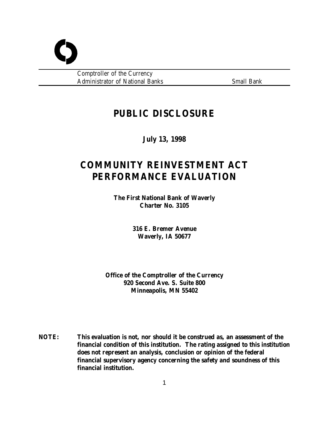Comptroller of the Currency Administrator of National Banks Small Bank

## **PUBLIC DISCLOSURE**

**July 13, 1998**

# **COMMUNITY REINVESTMENT ACT PERFORMANCE EVALUATION**

**The First National Bank of Waverly Charter No. 3105**

> **316 E. Bremer Avenue Waverly, IA 50677**

**Office of the Comptroller of the Currency 920 Second Ave. S. Suite 800 Minneapolis, MN 55402**

**NOTE: This evaluation is not, nor should it be construed as, an assessment of the financial condition of this institution. The rating assigned to this institution does not represent an analysis, conclusion or opinion of the federal financial supervisory agency concerning the safety and soundness of this financial institution.**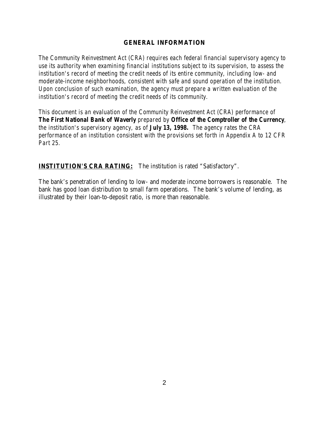## **GENERAL INFORMATION**

*The Community Reinvestment Act (CRA) requires each federal financial supervisory agency to use its authority when examining financial institutions subject to its supervision, to assess the institution's record of meeting the credit needs of its entire community, including low- and moderate-income neighborhoods, consistent with safe and sound operation of the institution. Upon conclusion of such examination, the agency must prepare a written evaluation of the institution's record of meeting the credit needs of its community.* 

*This document is an evaluation of the Community Reinvestment Act (CRA) performance of The First National Bank of Waverly prepared by Office of the Comptroller of the Currency, the institution's supervisory agency, as of July 13, 1998. The agency rates the CRA performance of an institution consistent with the provisions set forth in Appendix A to 12 CFR Part 25.*

**INSTITUTION'S CRA RATING:** The institution is rated "Satisfactory".

The bank's penetration of lending to low- and moderate income borrowers is reasonable. The bank has good loan distribution to small farm operations. The bank's volume of lending, as illustrated by their loan-to-deposit ratio, is more than reasonable.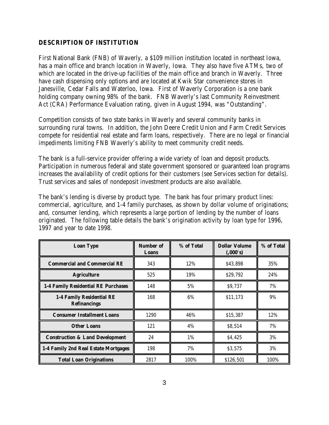## **DESCRIPTION OF INSTITUTION**

First National Bank (FNB) of Waverly, a \$109 million institution located in northeast Iowa, has a main office and branch location in Waverly, Iowa. They also have five ATMs, two of which are located in the drive-up facilities of the main office and branch in Waverly. Three have cash dispensing only options and are located at Kwik Star convenience stores in Janesville, Cedar Falls and Waterloo, Iowa. First of Waverly Corporation is a one bank holding company owning 98% of the bank. FNB Waverly's last Community Reinvestment Act (CRA) Performance Evaluation rating, given in August 1994, was "Outstanding".

Competition consists of two state banks in Waverly and several community banks in surrounding rural towns. In addition, the John Deere Credit Union and Farm Credit Services compete for residential real estate and farm loans, respectively. There are no legal or financial impediments limiting FNB Waverly's ability to meet community credit needs.

The bank is a full-service provider offering a wide variety of loan and deposit products. Participation in numerous federal and state government sponsored or guaranteed loan programs increases the availability of credit options for their customers (see Services section for details). Trust services and sales of nondeposit investment products are also available.

The bank's lending is diverse by product type. The bank has four primary product lines: commercial, agriculture, and 1-4 family purchases, as shown by dollar volume of originations; and, consumer lending, which represents a large portion of lending by the number of loans originated. The following table details the bank's origination activity by loan type for 1996, 1997 and year to date 1998.

| <b>Loan Type</b>                                 | Number of<br>Loans | % of Total | <b>Dollar Volume</b><br>(0.000's) | % of Total |
|--------------------------------------------------|--------------------|------------|-----------------------------------|------------|
| <b>Commercial and Commercial RE</b>              | 343                | 12%        | \$43,898                          | 35%        |
| <b>Agriculture</b>                               | 525                | 19%        | \$29,792                          | 24%        |
| 1-4 Family Residential RE Purchases              | 148                | 5%         | \$9,737                           | 7%         |
| 1-4 Family Residential RE<br><b>Refinancings</b> | 168                | 6%         | \$11,173                          | 9%         |
| <b>Consumer Installment Loans</b>                | 1290               | 46%        | \$15,387                          | 12%        |
| <b>Other Loans</b>                               | 121                | 4%         | \$8,514                           | 7%         |
| <b>Construction &amp; Land Development</b>       | 24                 | $1\%$      | \$4,425                           | 3%         |
| 1-4 Family 2nd Real Estate Mortgages             | 198                | 7%         | \$3,575                           | 3%         |
| <b>Total Loan Originations</b>                   | 2817               | 100%       | \$126,501                         | 100%       |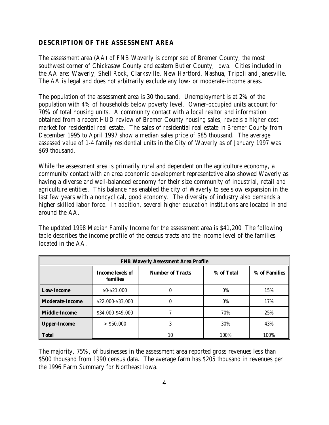## **DESCRIPTION OF THE ASSESSMENT AREA**

The assessment area (AA) of FNB Waverly is comprised of Bremer County, the most southwest corner of Chickasaw County and eastern Butler County, Iowa. Cities included in the AA are: Waverly, Shell Rock, Clarksville, New Hartford, Nashua, Tripoli and Janesville. The AA is legal and does not arbitrarily exclude any low- or moderate-income areas.

The population of the assessment area is 30 thousand. Unemployment is at 2% of the population with 4% of households below poverty level. Owner-occupied units account for 70% of total housing units. A community contact with a local realtor and information obtained from a recent HUD review of Bremer County housing sales, reveals a higher cost market for residential real estate. The sales of residential real estate in Bremer County from December 1995 to April 1997 show a median sales price of \$85 thousand. The average assessed value of 1-4 family residential units in the City of Waverly as of January 1997 was \$69 thousand.

While the assessment area is primarily rural and dependent on the agriculture economy, a community contact with an area economic development representative also showed Waverly as having a diverse and well-balanced economy for their size community of industrial, retail and agriculture entities. This balance has enabled the city of Waverly to see slow expansion in the last few years with a noncyclical, good economy. The diversity of industry also demands a higher skilled labor force. In addition, several higher education institutions are located in and around the AA.

The updated 1998 Median Family Income for the assessment area is \$41,200 The following table describes the income profile of the census tracts and the income level of the families located in the AA.

| <b>FNB Waverly Assessment Area Profile</b> |                                     |                         |            |               |
|--------------------------------------------|-------------------------------------|-------------------------|------------|---------------|
|                                            | <b>Income levels of</b><br>families | <b>Number of Tracts</b> | % of Total | % of Families |
| <b>Low-Income</b>                          | \$0-\$21,000                        | 0                       | 0%         | 15%           |
| <b>Moderate-Income</b>                     | \$22,000-\$33,000                   | 0                       | 0%         | 17%           |
| <b>Middle-Income</b>                       | \$34,000-\$49,000                   |                         | 70%        | 25%           |
| <b>Upper-Income</b>                        | $>$ \$50,000                        | 3                       | 30%        | 43%           |
| <b>Total</b>                               |                                     | 10                      | 100%       | 100%          |

The majority, 75%, of businesses in the assessment area reported gross revenues less than \$500 thousand from 1990 census data. The average farm has \$205 thousand in revenues per the 1996 Farm Summary for Northeast Iowa.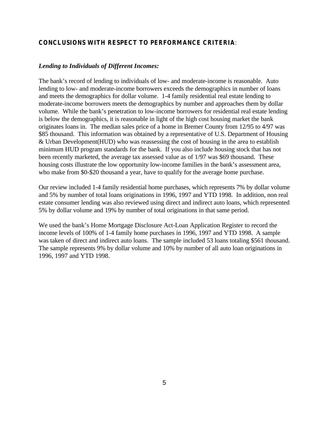## **CONCLUSIONS WITH RESPECT TO PERFORMANCE CRITERIA**:

#### *Lending to Individuals of Different Incomes:*

The bank's record of lending to individuals of low- and moderate-income is reasonable. Auto lending to low- and moderate-income borrowers exceeds the demographics in number of loans and meets the demographics for dollar volume. 1-4 family residential real estate lending to moderate-income borrowers meets the demographics by number and approaches them by dollar volume. While the bank's penetration to low-income borrowers for residential real estate lending is below the demographics, it is reasonable in light of the high cost housing market the bank originates loans in. The median sales price of a home in Bremer County from 12/95 to 4/97 was \$85 thousand. This information was obtained by a representative of U.S. Department of Housing & Urban Development(HUD) who was reassessing the cost of housing in the area to establish minimum HUD program standards for the bank. If you also include housing stock that has not been recently marketed, the average tax assessed value as of 1/97 was \$69 thousand. These housing costs illustrate the low opportunity low-income families in the bank's assessment area, who make from \$0-\$20 thousand a year, have to qualify for the average home purchase.

Our review included 1-4 family residential home purchases, which represents 7% by dollar volume and 5% by number of total loans originations in 1996, 1997 and YTD 1998. In addition, non real estate consumer lending was also reviewed using direct and indirect auto loans, which represented 5% by dollar volume and 19% by number of total originations in that same period.

We used the bank's Home Mortgage Disclosure Act-Loan Application Register to record the income levels of 100% of 1-4 family home purchases in 1996, 1997 and YTD 1998. A sample was taken of direct and indirect auto loans. The sample included 53 loans totaling \$561 thousand. The sample represents 9% by dollar volume and 10% by number of all auto loan originations in 1996, 1997 and YTD 1998.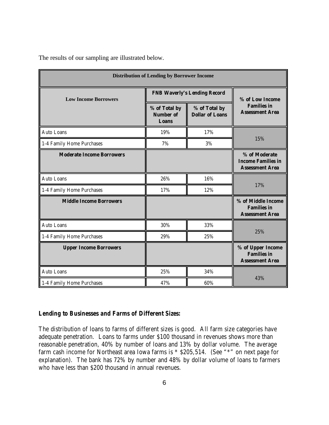The results of our sampling are illustrated below.

| <b>Distribution of Lending by Borrower Income</b> |                                                   |                                         |                                                                      |  |
|---------------------------------------------------|---------------------------------------------------|-----------------------------------------|----------------------------------------------------------------------|--|
| <b>Low Income Borrowers</b>                       |                                                   | <b>FNB Waverly's Lending Record</b>     |                                                                      |  |
|                                                   | % of Total by<br><b>Number of</b><br><b>Loans</b> | % of Total by<br><b>Dollar of Loans</b> | % of Low Income<br><b>Families in</b><br><b>Assessment Area</b>      |  |
| <b>Auto Loans</b>                                 | 19%                                               | 17%                                     |                                                                      |  |
| 1-4 Family Home Purchases                         | 7%                                                | $3\%$                                   | 15%                                                                  |  |
| <b>Moderate Income Borrowers</b>                  |                                                   |                                         | % of Moderate<br><b>Income Families in</b><br><b>Assessment Area</b> |  |
| Auto Loans                                        | 26%                                               | 16%                                     | 17%                                                                  |  |
| 1-4 Family Home Purchases                         | 17%                                               | 12%                                     |                                                                      |  |
| <b>Middle Income Borrowers</b>                    |                                                   |                                         | % of Middle Income<br><b>Families in</b><br><b>Assessment Area</b>   |  |
| Auto Loans                                        | 30%                                               | 33%                                     |                                                                      |  |
| 1-4 Family Home Purchases                         | 29%                                               | 25%                                     | 25%                                                                  |  |
| <b>Upper Income Borrowers</b>                     |                                                   |                                         | % of Upper Income<br><b>Families in</b><br><b>Assessment Area</b>    |  |
| Auto Loans                                        | 25%                                               | 34%                                     |                                                                      |  |
| 1-4 Family Home Purchases                         | 47%                                               | 60%                                     | 43%                                                                  |  |

#### *Lending to Businesses and Farms of Different Sizes:*

The distribution of loans to farms of different sizes is good. All farm size categories have adequate penetration. Loans to farms under \$100 thousand in revenues shows more than reasonable penetration, 40% by number of loans and 13% by dollar volume. The average farm cash income for Northeast area Iowa farms is \* \$205,514. (See "\*" on next page for explanation). The bank has 72% by number and 48% by dollar volume of loans to farmers who have less than \$200 thousand in annual revenues.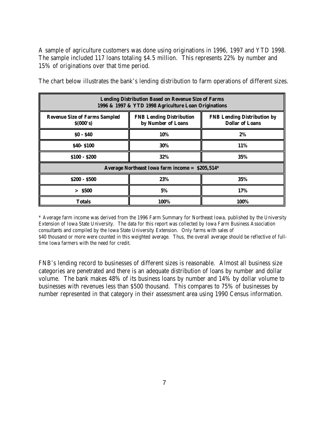A sample of agriculture customers was done using originations in 1996, 1997 and YTD 1998. The sample included 117 loans totaling \$4.5 million. This represents 22% by number and 15% of originations over that time period.

The chart below illustrates the bank's lending distribution to farm operations of different sizes.

| <b>Lending Distribution Based on Revenue Size of Farms</b><br>1996 & 1997 & YTD 1998 Agriculture Loan Originations |                                                       |                                                              |  |
|--------------------------------------------------------------------------------------------------------------------|-------------------------------------------------------|--------------------------------------------------------------|--|
| <b>Revenue Size of Farms Sampled</b><br>\$(000's)                                                                  | <b>FNB Lending Distribution</b><br>by Number of Loans | <b>FNB Lending Distribution by</b><br><b>Dollar of Loans</b> |  |
| $$0 - $40$$                                                                                                        | 10%                                                   | 2%                                                           |  |
| <b>\$40-\$100</b>                                                                                                  | 30%                                                   | 11%                                                          |  |
| $$100 - $200$                                                                                                      | 32%                                                   | 35%                                                          |  |
| Average Northeast Iowa farm income = $$205,514^*$                                                                  |                                                       |                                                              |  |
| $$200 - $500$                                                                                                      | 23%                                                   | 35%                                                          |  |
| > \$500                                                                                                            | 5%                                                    | 17%                                                          |  |
| <b>Totals</b>                                                                                                      | 100%                                                  | 100%                                                         |  |

\* Average farm income was derived from the 1996 Farm Summary for Northeast Iowa, published by the University Extension of Iowa State University. The data for this report was collected by Iowa Farm Business Association consultants and compiled by the Iowa State University Extension. Only farms with sales of \$40 thousand or more were counted in this weighted average. Thus, the overall average should be reflective of fulltime Iowa farmers with the need for credit.

FNB's lending record to businesses of different sizes is reasonable. Almost all business size categories are penetrated and there is an adequate distribution of loans by number and dollar volume. The bank makes 48% of its business loans by number and 14% by dollar volume to businesses with revenues less than \$500 thousand. This compares to 75% of businesses by number represented in that category in their assessment area using 1990 Census information.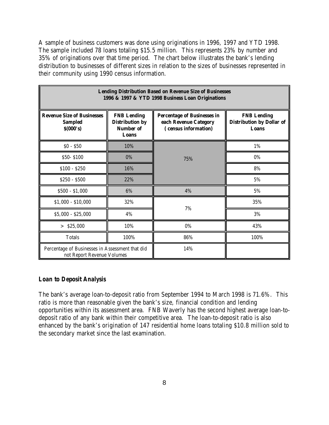A sample of business customers was done using originations in 1996, 1997 and YTD 1998. The sample included 78 loans totaling \$15.5 million. This represents 23% by number and 35% of originations over that time period. The chart below illustrates the bank's lending distribution to businesses of different sizes in relation to the sizes of businesses represented in their community using 1990 census information.

| <b>Lending Distribution Based on Revenue Size of Businesses</b><br>1996 & 1997 & YTD 1998 Business Loan Originations |                                                                           |                                                                                    |                                                                        |
|----------------------------------------------------------------------------------------------------------------------|---------------------------------------------------------------------------|------------------------------------------------------------------------------------|------------------------------------------------------------------------|
| <b>Revenue Size of Businesses</b><br><b>Sampled</b><br>\$(000's)                                                     | <b>FNB Lending</b><br><b>Distribution by</b><br><b>Number of</b><br>Loans | <b>Percentage of Businesses in</b><br>each Revenue Category<br>census information) | <b>FNB Lending</b><br><b>Distribution by Dollar of</b><br><b>Loans</b> |
| $$0 - $50$                                                                                                           | 10%                                                                       |                                                                                    | 1%                                                                     |
| \$50-\$100                                                                                                           | 0%                                                                        | 75%                                                                                | 0%                                                                     |
| $$100 - $250$                                                                                                        | 16%                                                                       |                                                                                    | 8%                                                                     |
| $$250 - $500$                                                                                                        | 22%                                                                       |                                                                                    | $5\%$                                                                  |
| $$500 - $1,000$                                                                                                      | 6%                                                                        | 4%                                                                                 | $5\%$                                                                  |
| $$1,000 - $10,000$                                                                                                   | 32%                                                                       |                                                                                    | 35%                                                                    |
| $$5,000 - $25,000$                                                                                                   | 4%                                                                        | 7%                                                                                 | $3\%$                                                                  |
| $>$ \$25,000                                                                                                         | 10%                                                                       | $0\%$                                                                              | 43%                                                                    |
| <b>Totals</b>                                                                                                        | 100%                                                                      | 86%                                                                                | 100%                                                                   |
| Percentage of Businesses in Assessment that did<br>not Report Revenue Volumes                                        |                                                                           | 14%                                                                                |                                                                        |

### *Loan to Deposit Analysis*

The bank's average loan-to-deposit ratio from September 1994 to March 1998 is 71.6%. This ratio is more than reasonable given the bank's size, financial condition and lending opportunities within its assessment area. FNB Waverly has the second highest average loan-todeposit ratio of any bank within their competitive area. The loan-to-deposit ratio is also enhanced by the bank's origination of 147 residential home loans totaling \$10.8 million sold to the secondary market since the last examination.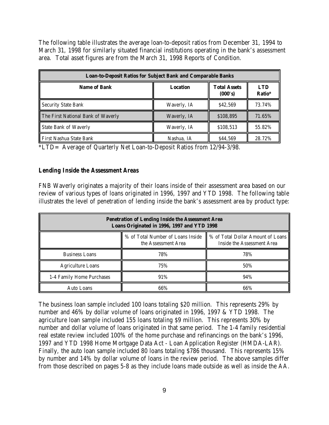The following table illustrates the average loan-to-deposit ratios from December 31, 1994 to March 31, 1998 for similarly situated financial institutions operating in the bank's assessment area. Total asset figures are from the March 31, 1998 Reports of Condition.

| <b>Loan-to-Deposit Ratios for Subject Bank and Comparable Banks</b> |                 |                                |                      |
|---------------------------------------------------------------------|-----------------|--------------------------------|----------------------|
| <b>Name of Bank</b>                                                 | <b>Location</b> | <b>Total Assets</b><br>(000's) | <b>LTD</b><br>Ratio* |
| Security State Bank                                                 | Waverly, IA     | \$42.569                       | 73.74%               |
| The First National Bank of Waverly                                  | Waverly, IA     | \$108,895                      | 71.65%               |
| <b>State Bank of Waverly</b>                                        | Waverly, IA     | \$108,513                      | 55.82%               |
| First Nashua State Bank                                             | Nashua, IA      | \$44.569                       | 28.72%               |

\*LTD= Average of Quarterly Net Loan-to-Deposit Ratios from 12/94-3/98.

## *Lending Inside the Assessment Areas*

FNB Waverly originates a majority of their loans inside of their assessment area based on our review of various types of loans originated in 1996, 1997 and YTD 1998. The following table illustrates the level of penetration of lending inside the bank's assessment area by product type:

| <b>Penetration of Lending Inside the Assessment Area</b><br>Loans Originated in 1996, 1997 and YTD 1998 |                                                          |                                                                 |  |
|---------------------------------------------------------------------------------------------------------|----------------------------------------------------------|-----------------------------------------------------------------|--|
|                                                                                                         | % of Total Number of Loans Inside<br>the Assessment Area | % of Total Dollar Amount of Loans<br>Inside the Assessment Area |  |
| <b>Business Loans</b>                                                                                   | 78%                                                      | 78%                                                             |  |
| <b>Agriculture Loans</b>                                                                                | 75%                                                      | 50%                                                             |  |
| 1-4 Family Home Purchases                                                                               | 91%                                                      | 94%                                                             |  |
| Auto Loans                                                                                              | 66%                                                      | 66%                                                             |  |

The business loan sample included 100 loans totaling \$20 million. This represents 29% by number and 46% by dollar volume of loans originated in 1996, 1997 & YTD 1998. The agriculture loan sample included 155 loans totaling \$9 million. This represents 30% by number and dollar volume of loans originated in that same period. The 1-4 family residential real estate review included 100% of the home purchase and refinancings on the bank's 1996, 1997 and YTD 1998 Home Mortgage Data Act - Loan Application Register (HMDA-LAR). Finally, the auto loan sample included 80 loans totaling \$786 thousand. This represents 15% by number and 14% by dollar volume of loans in the review period. The above samples differ from those described on pages 5-8 as they include loans made outside as well as inside the AA.